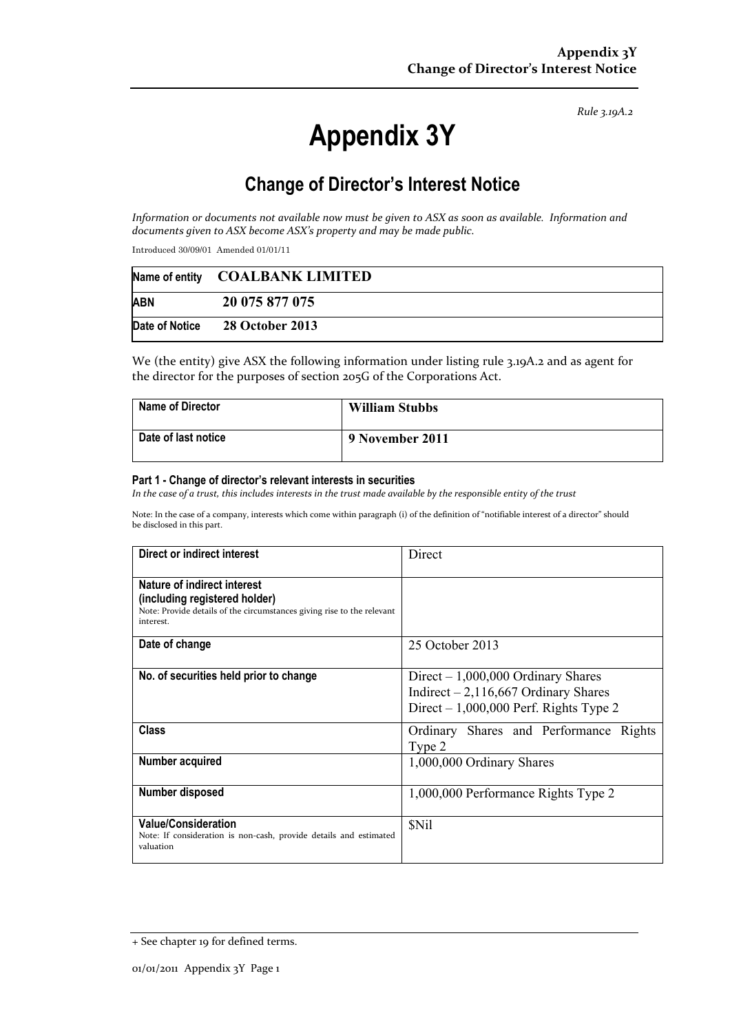*Rule 3.19A.2*

# **Appendix 3Y**

# **Change of Director's Interest Notice**

*Information or documents not available now must be given to ASX as soon as available. Information and documents given to ASX become ASX's property and may be made public.* 

Introduced 30/09/01 Amended 01/01/11

|            | Name of entity COALBANK LIMITED |
|------------|---------------------------------|
| <b>ABN</b> | 20 075 877 075                  |
|            | Date of Notice 28 October 2013  |

We (the entity) give ASX the following information under listing rule 3.19A.2 and as agent for the director for the purposes of section 205G of the Corporations Act.

| <b>Name of Director</b> | <b>William Stubbs</b> |
|-------------------------|-----------------------|
| Date of last notice     | 9 November 2011       |

#### **Part 1 - Change of director's relevant interests in securities**

*In the case of a trust, this includes interests in the trust made available by the responsible entity of the trust* 

Note: In the case of a company, interests which come within paragraph (i) of the definition of "notifiable interest of a director" should be disclosed in this part.

| Direct or indirect interest                                                                                                                         | Direct                                                                                                                   |  |
|-----------------------------------------------------------------------------------------------------------------------------------------------------|--------------------------------------------------------------------------------------------------------------------------|--|
| Nature of indirect interest<br>(including registered holder)<br>Note: Provide details of the circumstances giving rise to the relevant<br>interest. |                                                                                                                          |  |
| Date of change                                                                                                                                      | 25 October 2013                                                                                                          |  |
| No. of securities held prior to change                                                                                                              | $Direct - 1,000,000$ Ordinary Shares<br>Indirect $-2,116,667$ Ordinary Shares<br>Direct $-1,000,000$ Perf. Rights Type 2 |  |
| <b>Class</b>                                                                                                                                        | Ordinary Shares and Performance Rights<br>Type 2                                                                         |  |
| Number acquired                                                                                                                                     | 1,000,000 Ordinary Shares                                                                                                |  |
| Number disposed                                                                                                                                     | 1,000,000 Performance Rights Type 2                                                                                      |  |
| <b>Value/Consideration</b><br>Note: If consideration is non-cash, provide details and estimated<br>valuation                                        | <b>SNil</b>                                                                                                              |  |

<sup>+</sup> See chapter 19 for defined terms.